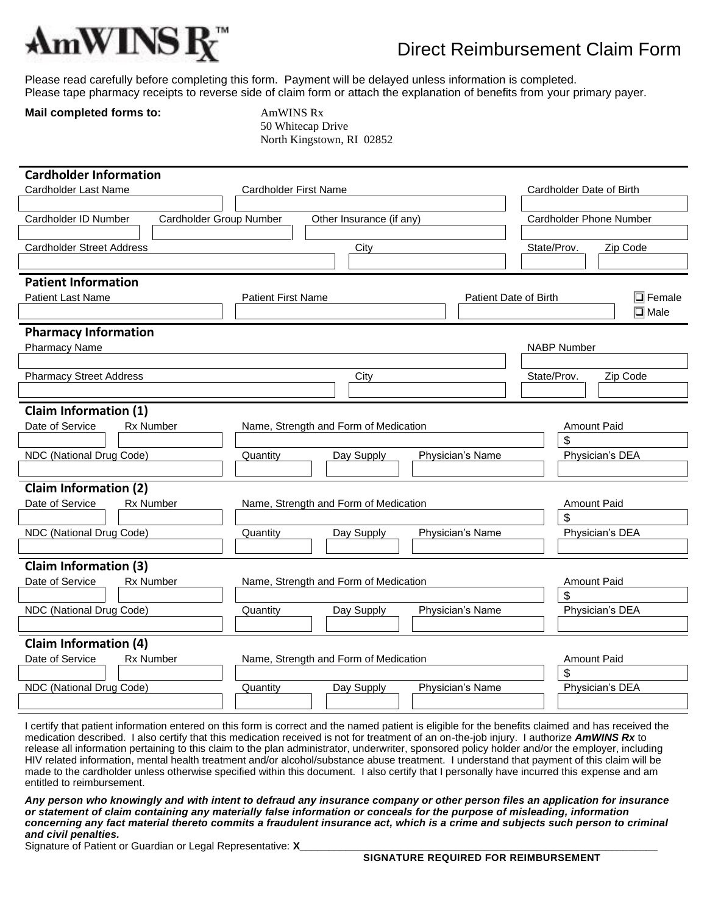

## Direct Reimbursement Claim Form

Please read carefully before completing this form. Payment will be delayed unless information is completed. Please tape pharmacy receipts to reverse side of claim form or attach the explanation of benefits from your primary payer.

## **Mail completed forms to: AmWINS Rx**

 50 Whitecap Drive North Kingstown, RI 02852

| <b>Cardholder Information</b>                                                                          |                                                             |                                       |                       |                          |  |  |
|--------------------------------------------------------------------------------------------------------|-------------------------------------------------------------|---------------------------------------|-----------------------|--------------------------|--|--|
| Cardholder Last Name                                                                                   | Cardholder First Name                                       |                                       |                       | Cardholder Date of Birth |  |  |
|                                                                                                        |                                                             |                                       |                       |                          |  |  |
| Cardholder ID Number<br>Cardholder Group Number<br>Cardholder Phone Number<br>Other Insurance (if any) |                                                             |                                       |                       |                          |  |  |
|                                                                                                        |                                                             |                                       |                       |                          |  |  |
| <b>Cardholder Street Address</b>                                                                       |                                                             | City                                  |                       | State/Prov.<br>Zip Code  |  |  |
|                                                                                                        |                                                             |                                       |                       |                          |  |  |
| <b>Patient Information</b>                                                                             |                                                             |                                       |                       |                          |  |  |
| Patient Last Name                                                                                      | <b>Patient First Name</b>                                   |                                       | Patient Date of Birth | $\overline{\Box}$ Female |  |  |
|                                                                                                        |                                                             |                                       |                       | $\overline{\Box}$ Male   |  |  |
| <b>Pharmacy Information</b>                                                                            |                                                             |                                       |                       |                          |  |  |
| <b>Pharmacy Name</b>                                                                                   |                                                             |                                       |                       | <b>NABP Number</b>       |  |  |
| <b>Pharmacy Street Address</b>                                                                         |                                                             | City                                  |                       | State/Prov.<br>Zip Code  |  |  |
|                                                                                                        |                                                             |                                       |                       |                          |  |  |
|                                                                                                        |                                                             |                                       |                       |                          |  |  |
| <b>Claim Information (1)</b>                                                                           |                                                             |                                       |                       |                          |  |  |
| Date of Service<br><b>Rx Number</b>                                                                    |                                                             | Name, Strength and Form of Medication |                       | Amount Paid<br>\$        |  |  |
| NDC (National Drug Code)                                                                               | Quantity                                                    | Day Supply                            | Physician's Name      | Physician's DEA          |  |  |
|                                                                                                        |                                                             |                                       |                       |                          |  |  |
| <b>Claim Information (2)</b>                                                                           |                                                             |                                       |                       |                          |  |  |
| Date of Service<br>Rx Number                                                                           | Name, Strength and Form of Medication<br><b>Amount Paid</b> |                                       |                       |                          |  |  |
|                                                                                                        | \$                                                          |                                       |                       |                          |  |  |
| NDC (National Drug Code)                                                                               | Quantity                                                    | Day Supply                            | Physician's Name      | Physician's DEA          |  |  |
|                                                                                                        |                                                             |                                       |                       |                          |  |  |
| <b>Claim Information (3)</b>                                                                           |                                                             |                                       |                       |                          |  |  |
| Date of Service<br><b>Rx Number</b>                                                                    |                                                             | Name, Strength and Form of Medication |                       | Amount Paid              |  |  |
|                                                                                                        |                                                             |                                       |                       | \$                       |  |  |
| NDC (National Drug Code)                                                                               | Quantity                                                    | Day Supply                            | Physician's Name      | Physician's DEA          |  |  |
|                                                                                                        |                                                             |                                       |                       |                          |  |  |
| <b>Claim Information (4)</b>                                                                           |                                                             |                                       |                       |                          |  |  |
| Date of Service<br><b>Rx Number</b>                                                                    | Name, Strength and Form of Medication<br><b>Amount Paid</b> |                                       |                       |                          |  |  |
|                                                                                                        |                                                             |                                       |                       | \$                       |  |  |
| NDC (National Drug Code)                                                                               | Quantity                                                    | Day Supply                            | Physician's Name      | Physician's DEA          |  |  |
|                                                                                                        |                                                             |                                       |                       |                          |  |  |

I certify that patient information entered on this form is correct and the named patient is eligible for the benefits claimed and has received the medication described. I also certify that this medication received is not for treatment of an on-the-job injury. I authorize *AmWINS Rx* to release all information pertaining to this claim to the plan administrator, underwriter, sponsored policy holder and/or the employer, including HIV related information, mental health treatment and/or alcohol/substance abuse treatment. I understand that payment of this claim will be made to the cardholder unless otherwise specified within this document. I also certify that I personally have incurred this expense and am entitled to reimbursement.

*Any person who knowingly and with intent to defraud any insurance company or other person files an application for insurance or statement of claim containing any materially false information or conceals for the purpose of misleading, information concerning any fact material thereto commits a fraudulent insurance act, which is a crime and subjects such person to criminal and civil penalties.*

Signature of Patient or Guardian or Legal Representative: **X**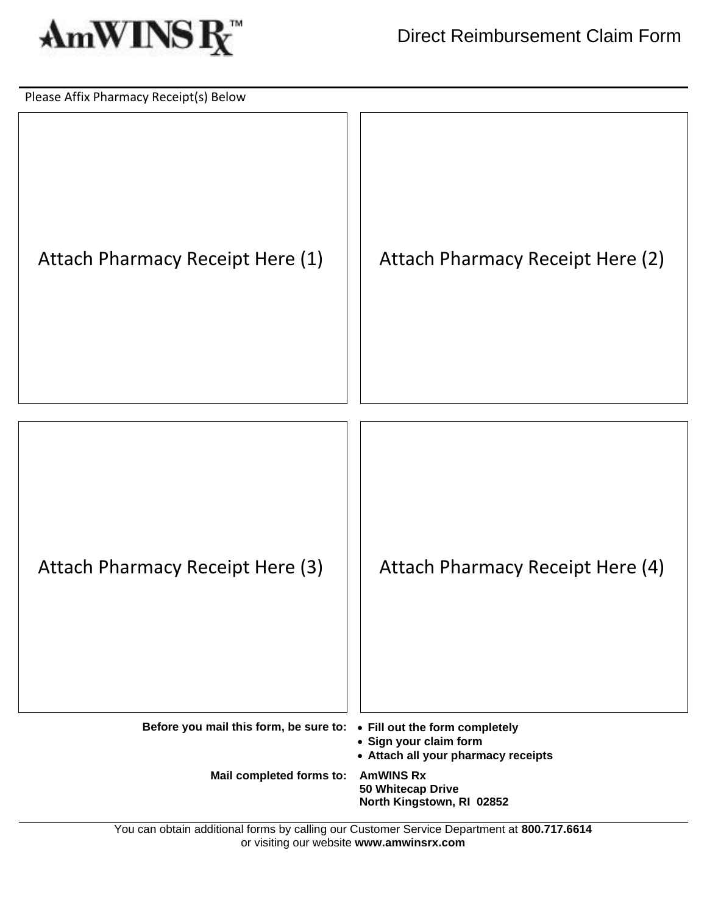

| Please Affix Pharmacy Receipt(s) Below                                |                                                                    |
|-----------------------------------------------------------------------|--------------------------------------------------------------------|
| Attach Pharmacy Receipt Here (1)                                      | Attach Pharmacy Receipt Here (2)                                   |
| Attach Pharmacy Receipt Here (3)                                      | Attach Pharmacy Receipt Here (4)                                   |
| Before you mail this form, be sure to: . Fill out the form completely | • Sign your claim form<br>• Attach all your pharmacy receipts      |
| Mail completed forms to:                                              | <b>AmWINS Rx</b><br>50 Whitecap Drive<br>North Kingstown, RI 02852 |

You can obtain additional forms by calling our Customer Service Department at **800.717.6614** or visiting our website **www.amwinsrx.com**